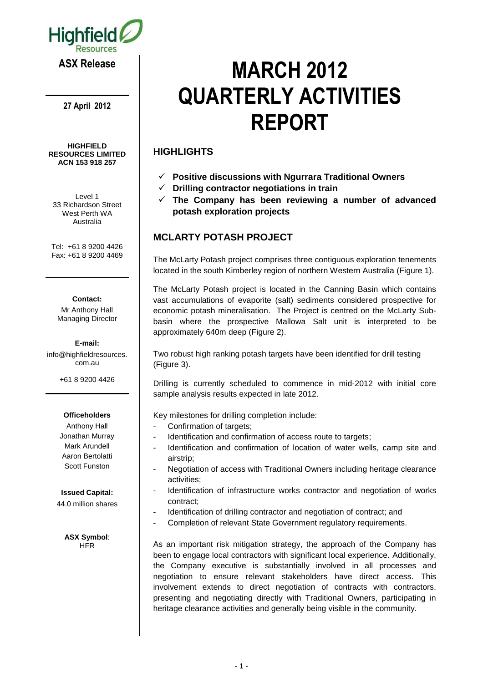

**27 April 2012**

#### **HIGHFIELD RESOURCES LIMITED ACN 153 918 257**

Level 1 33 Richardson Street West Perth WA Australia

Tel: +61 8 9200 4426 Fax: +61 8 9200 4469

#### **Contact:**

Mr Anthony Hall Managing Director

**E-mail:** info@highfieldresources. com.au

+61 8 9200 4426

#### **Officeholders**

Anthony Hall Jonathan Murray Mark Arundell Aaron Bertolatti Scott Funston

**Issued Capital:**

44.0 million shares

**ASX Symbol**: **HFR** 

# **MARCH 2012 QUARTERLY ACTIVITIES REPORT**

# **HIGHLIGHTS**

- **Positive discussions with Ngurrara Traditional Owners**
- **Drilling contractor negotiations in train**
- **The Company has been reviewing a number of advanced potash exploration projects**

# **MCLARTY POTASH PROJECT**

The McLarty Potash project comprises three contiguous exploration tenements located in the south Kimberley region of northern Western Australia (Figure 1).

The McLarty Potash project is located in the Canning Basin which contains vast accumulations of evaporite (salt) sediments considered prospective for economic potash mineralisation. The Project is centred on the McLarty Subbasin where the prospective Mallowa Salt unit is interpreted to be approximately 640m deep (Figure 2).

Two robust high ranking potash targets have been identified for drill testing (Figure 3).

Drilling is currently scheduled to commence in mid-2012 with initial core sample analysis results expected in late 2012.

Key milestones for drilling completion include:

- Confirmation of targets;
- Identification and confirmation of access route to targets;
- Identification and confirmation of location of water wells, camp site and airstrip;
- Negotiation of access with Traditional Owners including heritage clearance activities;
- Identification of infrastructure works contractor and negotiation of works contract;
- Identification of drilling contractor and negotiation of contract; and
- Completion of relevant State Government regulatory requirements.

As an important risk mitigation strategy, the approach of the Company has been to engage local contractors with significant local experience. Additionally, the Company executive is substantially involved in all processes and negotiation to ensure relevant stakeholders have direct access. This involvement extends to direct negotiation of contracts with contractors, presenting and negotiating directly with Traditional Owners, participating in heritage clearance activities and generally being visible in the community.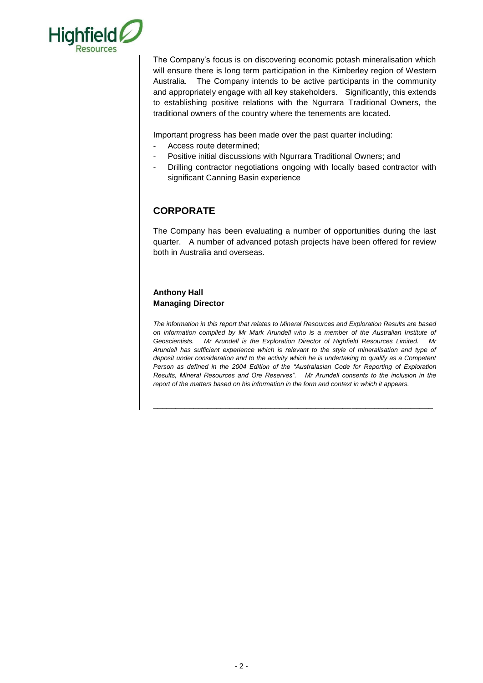

The Company's focus is on discovering economic potash mineralisation which will ensure there is long term participation in the Kimberley region of Western Australia. The Company intends to be active participants in the community and appropriately engage with all key stakeholders. Significantly, this extends to establishing positive relations with the Ngurrara Traditional Owners, the traditional owners of the country where the tenements are located.

Important progress has been made over the past quarter including:

- Access route determined;
- Positive initial discussions with Ngurrara Traditional Owners; and
- Drilling contractor negotiations ongoing with locally based contractor with significant Canning Basin experience

# **CORPORATE**

The Company has been evaluating a number of opportunities during the last quarter. A number of advanced potash projects have been offered for review both in Australia and overseas.

## **Anthony Hall Managing Director**

*The information in this report that relates to Mineral Resources and Exploration Results are based on information compiled by Mr Mark Arundell who is a member of the Australian Institute of Geoscientists. Mr Arundell is the Exploration Director of Highfield Resources Limited. Mr Arundell has sufficient experience which is relevant to the style of mineralisation and type of deposit under consideration and to the activity which he is undertaking to qualify as a Competent Person as defined in the 2004 Edition of the "Australasian Code for Reporting of Exploration Results, Mineral Resources and Ore Reserves". Mr Arundell consents to the inclusion in the report of the matters based on his information in the form and context in which it appears.*

\_\_\_\_\_\_\_\_\_\_\_\_\_\_\_\_\_\_\_\_\_\_\_\_\_\_\_\_\_\_\_\_\_\_\_\_\_\_\_\_\_\_\_\_\_\_\_\_\_\_\_\_\_\_\_\_\_\_\_\_\_\_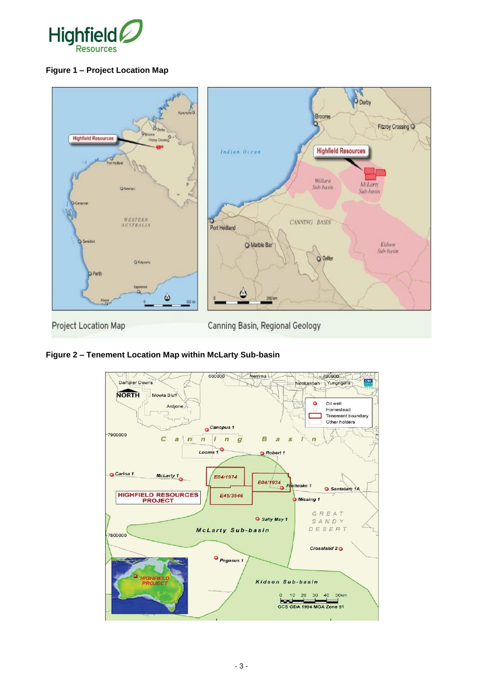

### **Figure 1 – Project Location Map**